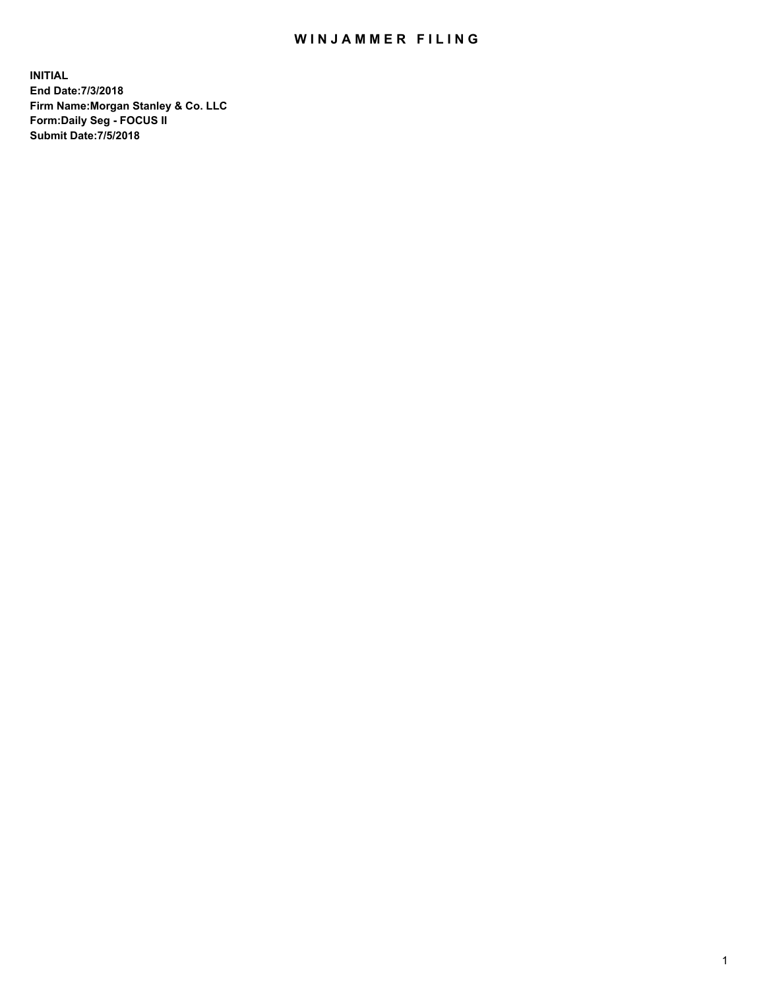## WIN JAMMER FILING

**INITIAL End Date:7/3/2018 Firm Name:Morgan Stanley & Co. LLC Form:Daily Seg - FOCUS II Submit Date:7/5/2018**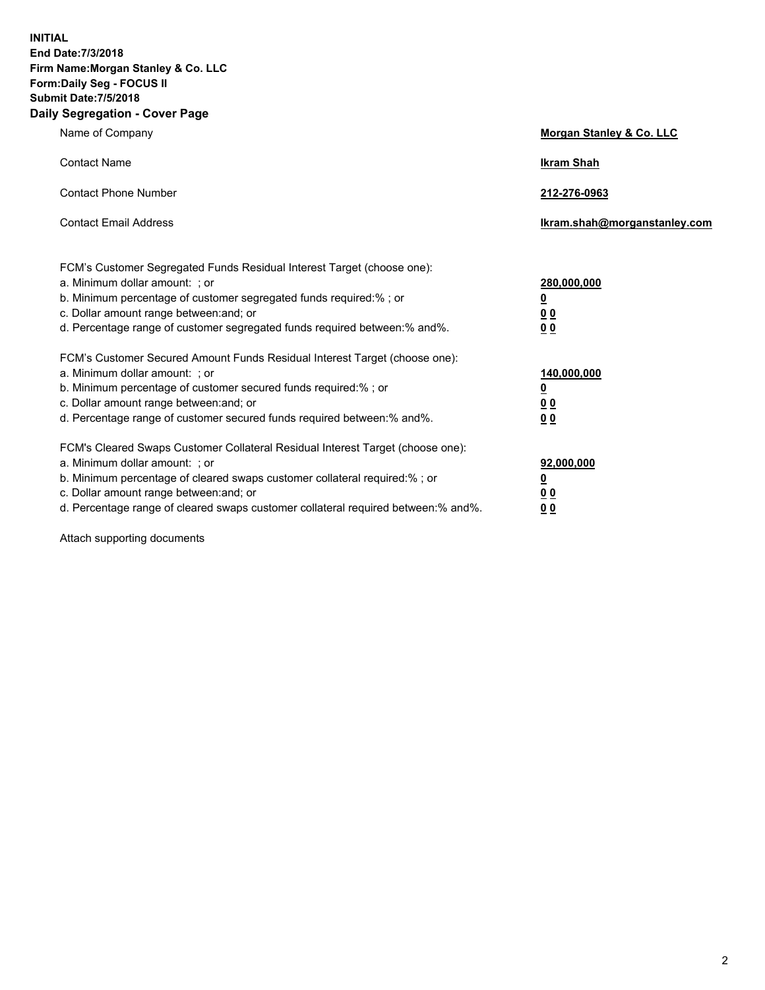**INITIAL End Date:7/3/2018 Firm Name:Morgan Stanley & Co. LLC Form:Daily Seg - FOCUS II Submit Date:7/5/2018 Daily Segregation - Cover Page**

| Name of Company                                                                                                              | Morgan Stanley & Co. LLC     |
|------------------------------------------------------------------------------------------------------------------------------|------------------------------|
| <b>Contact Name</b>                                                                                                          | <b>Ikram Shah</b>            |
| <b>Contact Phone Number</b>                                                                                                  | 212-276-0963                 |
| <b>Contact Email Address</b>                                                                                                 | Ikram.shah@morganstanley.com |
| FCM's Customer Segregated Funds Residual Interest Target (choose one):                                                       |                              |
| a. Minimum dollar amount: ; or                                                                                               | 280,000,000                  |
| b. Minimum percentage of customer segregated funds required:%; or                                                            | <u>0</u>                     |
| c. Dollar amount range between: and; or                                                                                      | <u>00</u>                    |
| d. Percentage range of customer segregated funds required between:% and%.                                                    | <u>00</u>                    |
| FCM's Customer Secured Amount Funds Residual Interest Target (choose one):                                                   |                              |
| a. Minimum dollar amount: ; or                                                                                               | 140,000,000                  |
| b. Minimum percentage of customer secured funds required:%; or                                                               | <u>0</u>                     |
| c. Dollar amount range between: and; or                                                                                      | <u>00</u>                    |
| d. Percentage range of customer secured funds required between: % and %.                                                     | 0 <sub>0</sub>               |
| FCM's Cleared Swaps Customer Collateral Residual Interest Target (choose one):                                               |                              |
| a. Minimum dollar amount: ; or                                                                                               | 92,000,000                   |
| b. Minimum percentage of cleared swaps customer collateral required:% ; or                                                   | <u>0</u>                     |
| c. Dollar amount range between: and; or<br>d. Percentage range of cleared swaps customer collateral required between:% and%. | 00                           |
|                                                                                                                              | 00                           |

Attach supporting documents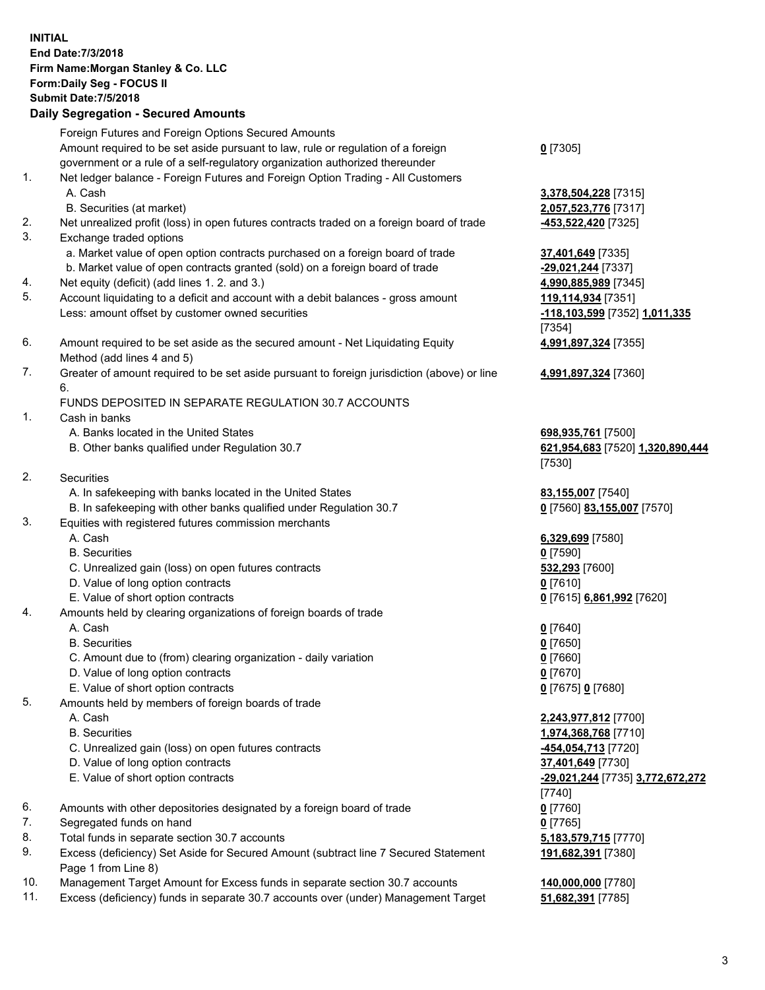| <b>INITIAL</b> | End Date: 7/3/2018<br>Firm Name: Morgan Stanley & Co. LLC<br>Form: Daily Seg - FOCUS II<br><b>Submit Date: 7/5/2018</b><br><b>Daily Segregation - Secured Amounts</b> |                                            |
|----------------|-----------------------------------------------------------------------------------------------------------------------------------------------------------------------|--------------------------------------------|
|                | Foreign Futures and Foreign Options Secured Amounts                                                                                                                   |                                            |
|                | Amount required to be set aside pursuant to law, rule or regulation of a foreign                                                                                      | $0$ [7305]                                 |
| 1.             | government or a rule of a self-regulatory organization authorized thereunder<br>Net ledger balance - Foreign Futures and Foreign Option Trading - All Customers       |                                            |
|                | A. Cash                                                                                                                                                               | 3,378,504,228 [7315]                       |
|                | B. Securities (at market)                                                                                                                                             | 2,057,523,776 [7317]                       |
| 2.             | Net unrealized profit (loss) in open futures contracts traded on a foreign board of trade                                                                             | -453,522,420 [7325]                        |
| 3.             | Exchange traded options                                                                                                                                               |                                            |
|                | a. Market value of open option contracts purchased on a foreign board of trade<br>b. Market value of open contracts granted (sold) on a foreign board of trade        | 37,401,649 [7335]<br>-29,021,244 [7337]    |
| 4.             | Net equity (deficit) (add lines 1.2. and 3.)                                                                                                                          | 4,990,885,989 [7345]                       |
| 5.             | Account liquidating to a deficit and account with a debit balances - gross amount                                                                                     | 119,114,934 [7351]                         |
|                | Less: amount offset by customer owned securities                                                                                                                      | -118,103,599 [7352] 1,011,335              |
|                |                                                                                                                                                                       | [7354]                                     |
| 6.             | Amount required to be set aside as the secured amount - Net Liquidating Equity                                                                                        | 4,991,897,324 [7355]                       |
| 7.             | Method (add lines 4 and 5)                                                                                                                                            |                                            |
|                | Greater of amount required to be set aside pursuant to foreign jurisdiction (above) or line<br>6.                                                                     | 4,991,897,324 [7360]                       |
|                | FUNDS DEPOSITED IN SEPARATE REGULATION 30.7 ACCOUNTS                                                                                                                  |                                            |
| 1.             | Cash in banks                                                                                                                                                         |                                            |
|                | A. Banks located in the United States                                                                                                                                 | 698,935,761 [7500]                         |
|                | B. Other banks qualified under Regulation 30.7                                                                                                                        | 621,954,683 [7520] 1,320,890,444           |
| 2.             | Securities                                                                                                                                                            | [7530]                                     |
|                | A. In safekeeping with banks located in the United States                                                                                                             | 83,155,007 [7540]                          |
|                | B. In safekeeping with other banks qualified under Regulation 30.7                                                                                                    | 0 [7560] 83,155,007 [7570]                 |
| 3.             | Equities with registered futures commission merchants                                                                                                                 |                                            |
|                | A. Cash                                                                                                                                                               | 6,329,699 [7580]                           |
|                | <b>B.</b> Securities                                                                                                                                                  | $0$ [7590]                                 |
|                | C. Unrealized gain (loss) on open futures contracts<br>D. Value of long option contracts                                                                              | 532,293 [7600]<br>$0$ [7610]               |
|                | E. Value of short option contracts                                                                                                                                    | 0 [7615] 6,861,992 [7620]                  |
| 4.             | Amounts held by clearing organizations of foreign boards of trade                                                                                                     |                                            |
|                | A. Cash                                                                                                                                                               | $0$ [7640]                                 |
|                | <b>B.</b> Securities                                                                                                                                                  | $0$ [7650]                                 |
|                | C. Amount due to (from) clearing organization - daily variation                                                                                                       | $0$ [7660]                                 |
|                | D. Value of long option contracts<br>E. Value of short option contracts                                                                                               | $0$ [7670]<br>0 [7675] 0 [7680]            |
| 5.             | Amounts held by members of foreign boards of trade                                                                                                                    |                                            |
|                | A. Cash                                                                                                                                                               | 2,243,977,812 [7700]                       |
|                | <b>B.</b> Securities                                                                                                                                                  | 1,974,368,768 [7710]                       |
|                | C. Unrealized gain (loss) on open futures contracts                                                                                                                   | <u>-454,054,713</u> [7720]                 |
|                | D. Value of long option contracts                                                                                                                                     | 37,401,649 [7730]                          |
|                | E. Value of short option contracts                                                                                                                                    | -29,021,244 [7735] 3,772,672,272<br>[7740] |
| 6.             | Amounts with other depositories designated by a foreign board of trade                                                                                                | $0$ [7760]                                 |
| 7.             | Segregated funds on hand                                                                                                                                              | $0$ [7765]                                 |
| 8.             | Total funds in separate section 30.7 accounts                                                                                                                         | 5,183,579,715 [7770]                       |
| 9.             | Excess (deficiency) Set Aside for Secured Amount (subtract line 7 Secured Statement                                                                                   | 191,682,391 [7380]                         |
| 10.            | Page 1 from Line 8)<br>Management Target Amount for Excess funds in separate section 30.7 accounts                                                                    | 140,000,000 [7780]                         |
|                |                                                                                                                                                                       |                                            |

11. Excess (deficiency) funds in separate 30.7 accounts over (under) Management Target **51,682,391** [7785]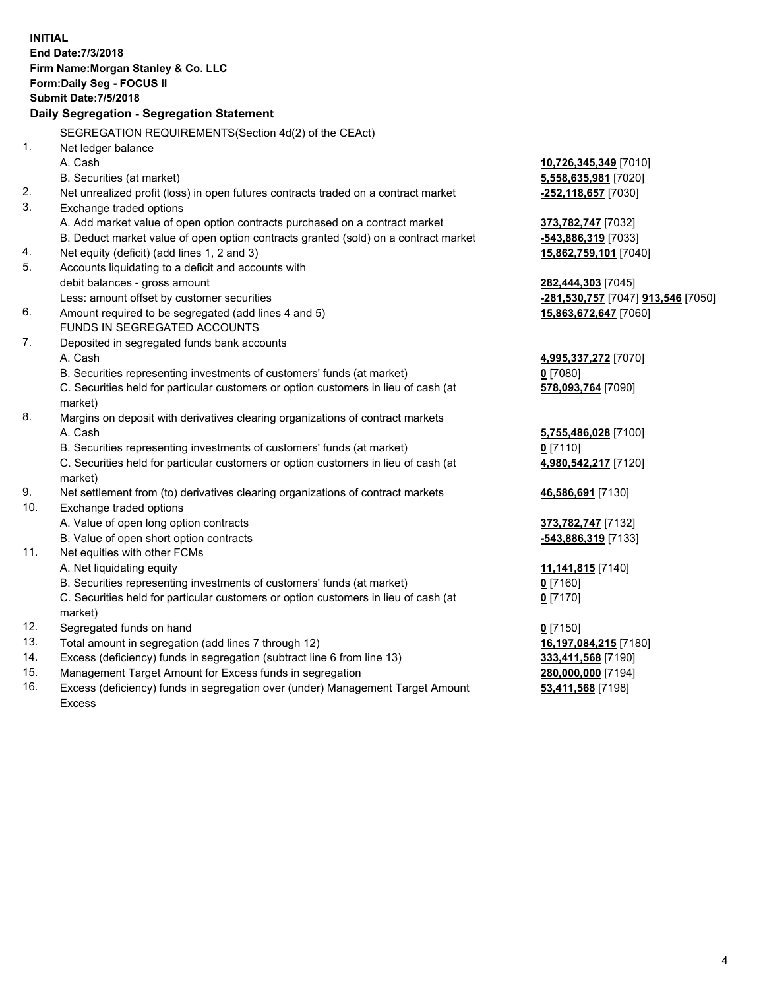|     | <b>INITIAL</b><br>End Date: 7/3/2018<br>Firm Name: Morgan Stanley & Co. LLC<br>Form: Daily Seg - FOCUS II<br><b>Submit Date: 7/5/2018</b> |                                                  |
|-----|-------------------------------------------------------------------------------------------------------------------------------------------|--------------------------------------------------|
|     | Daily Segregation - Segregation Statement                                                                                                 |                                                  |
|     | SEGREGATION REQUIREMENTS(Section 4d(2) of the CEAct)                                                                                      |                                                  |
| 1.  | Net ledger balance                                                                                                                        |                                                  |
|     | A. Cash                                                                                                                                   | 10,726,345,349 [7010]                            |
|     | B. Securities (at market)                                                                                                                 | 5,558,635,981 [7020]                             |
| 2.  | Net unrealized profit (loss) in open futures contracts traded on a contract market                                                        | -252,118,657 [7030]                              |
| 3.  | Exchange traded options                                                                                                                   |                                                  |
|     | A. Add market value of open option contracts purchased on a contract market                                                               | 373,782,747 [7032]                               |
|     | B. Deduct market value of open option contracts granted (sold) on a contract market                                                       | -543,886,319 [7033]                              |
| 4.  | Net equity (deficit) (add lines 1, 2 and 3)                                                                                               | 15,862,759,101 [7040]                            |
| 5.  | Accounts liquidating to a deficit and accounts with                                                                                       |                                                  |
|     | debit balances - gross amount                                                                                                             | 282,444,303 [7045]                               |
|     | Less: amount offset by customer securities                                                                                                | <u>-281,530,757</u> [7047] <u>913,546</u> [7050] |
| 6.  | Amount required to be segregated (add lines 4 and 5)                                                                                      | 15,863,672,647 [7060]                            |
|     | FUNDS IN SEGREGATED ACCOUNTS                                                                                                              |                                                  |
| 7.  | Deposited in segregated funds bank accounts                                                                                               |                                                  |
|     | A. Cash                                                                                                                                   | 4,995,337,272 [7070]                             |
|     | B. Securities representing investments of customers' funds (at market)                                                                    | 0 [7080]                                         |
|     | C. Securities held for particular customers or option customers in lieu of cash (at                                                       | 578,093,764 [7090]                               |
|     | market)                                                                                                                                   |                                                  |
| 8.  | Margins on deposit with derivatives clearing organizations of contract markets                                                            |                                                  |
|     | A. Cash                                                                                                                                   | 5,755,486,028 [7100]                             |
|     | B. Securities representing investments of customers' funds (at market)                                                                    | $0$ [7110]                                       |
|     | C. Securities held for particular customers or option customers in lieu of cash (at                                                       | 4,980,542,217 [7120]                             |
|     | market)                                                                                                                                   |                                                  |
| 9.  | Net settlement from (to) derivatives clearing organizations of contract markets                                                           | 46,586,691 [7130]                                |
| 10. | Exchange traded options                                                                                                                   |                                                  |
|     | A. Value of open long option contracts                                                                                                    | 373,782,747 [7132]                               |
|     | B. Value of open short option contracts                                                                                                   | -543,886,319 [7133]                              |
| 11. | Net equities with other FCMs                                                                                                              |                                                  |
|     | A. Net liquidating equity                                                                                                                 | 11,141,815 [7140]                                |
|     | B. Securities representing investments of customers' funds (at market)                                                                    | 0 [7160]                                         |
|     | C. Securities held for particular customers or option customers in lieu of cash (at                                                       | $0$ [7170]                                       |
|     | market)                                                                                                                                   |                                                  |
| 12. | Segregated funds on hand                                                                                                                  | $0$ [7150]                                       |
| 13. | Total amount in segregation (add lines 7 through 12)                                                                                      | 16,197,084,215 [7180]                            |
| 14. | Excess (deficiency) funds in segregation (subtract line 6 from line 13)                                                                   | 333,411,568 [7190]                               |
| 15. | Management Target Amount for Excess funds in segregation                                                                                  | 280,000,000 [7194]                               |
| 16. | Excess (deficiency) funds in segregation over (under) Management Target Amount                                                            | 53,411,568 [7198]                                |

16. Excess (deficiency) funds in segregation over (under) Management Target Amount Excess